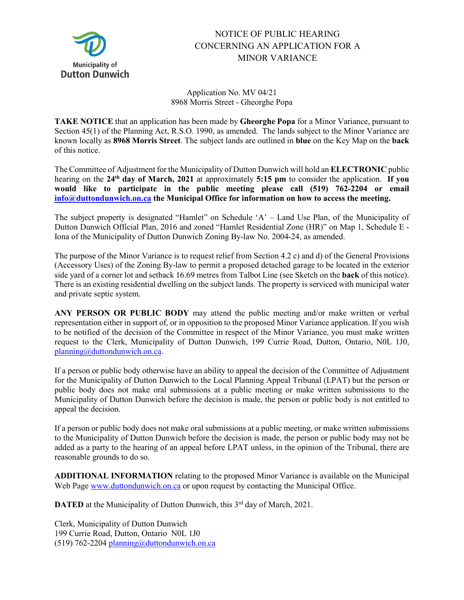

## NOTICE OF PUBLIC HEARING CONCERNING AN APPLICATION FOR A MINOR VARIANCE

Application No. MV 04/21 8968 Morris Street - Gheorghe Popa

**TAKE NOTICE** that an application has been made by **Gheorghe Popa** for a Minor Variance, pursuant to Section 45(1) of the Planning Act, R.S.O. 1990, as amended. The lands subject to the Minor Variance are known locally as **8968 Morris Street**. The subject lands are outlined in **blue** on the Key Map on the **back** of this notice.

The Committee of Adjustment for the Municipality of Dutton Dunwich will hold an **ELECTRONIC** public hearing on the **24th day of March, 2021** at approximately **5:15 pm** to consider the application. **If you would like to participate in the public meeting please call (519) 762-2204 or email [info@duttondunwich.on.ca](mailto:info@duttondunwich.on.ca) the Municipal Office for information on how to access the meeting.**

The subject property is designated "Hamlet" on Schedule 'A' – Land Use Plan, of the Municipality of Dutton Dunwich Official Plan, 2016 and zoned "Hamlet Residential Zone (HR)" on Map 1, Schedule E - Iona of the Municipality of Dutton Dunwich Zoning By-law No. 2004-24, as amended.

The purpose of the Minor Variance is to request relief from Section 4.2 c) and d) of the General Provisions (Accessory Uses) of the Zoning By-law to permit a proposed detached garage to be located in the exterior side yard of a corner lot and setback 16.69 metres from Talbot Line (see Sketch on the **back** of this notice). There is an existing residential dwelling on the subject lands. The property is serviced with municipal water and private septic system.

**ANY PERSON OR PUBLIC BODY** may attend the public meeting and/or make written or verbal representation either in support of, or in opposition to the proposed Minor Variance application. If you wish to be notified of the decision of the Committee in respect of the Minor Variance, you must make written request to the Clerk, Municipality of Dutton Dunwich, 199 Currie Road, Dutton, Ontario, N0L 1J0, [planning@duttondunwich.on.ca.](mailto:planning@duttondunwich.on.ca)

If a person or public body otherwise have an ability to appeal the decision of the Committee of Adjustment for the Municipality of Dutton Dunwich to the Local Planning Appeal Tribunal (LPAT) but the person or public body does not make oral submissions at a public meeting or make written submissions to the Municipality of Dutton Dunwich before the decision is made, the person or public body is not entitled to appeal the decision.

If a person or public body does not make oral submissions at a public meeting, or make written submissions to the Municipality of Dutton Dunwich before the decision is made, the person or public body may not be added as a party to the hearing of an appeal before LPAT unless, in the opinion of the Tribunal, there are reasonable grounds to do so.

**ADDITIONAL INFORMATION** relating to the proposed Minor Variance is available on the Municipal Web Pag[e www.duttondunwich.on.ca](http://www.duttondunwich.on.ca/) or upon request by contacting the Municipal Office.

**DATED** at the Municipality of Dutton Dunwich, this 3<sup>rd</sup> day of March, 2021.

Clerk, Municipality of Dutton Dunwich 199 Currie Road, Dutton, Ontario N0L 1J0 (519) 762-2204 [planning@duttondunwich.on.ca](mailto:planning@duttondunwich.on.ca)